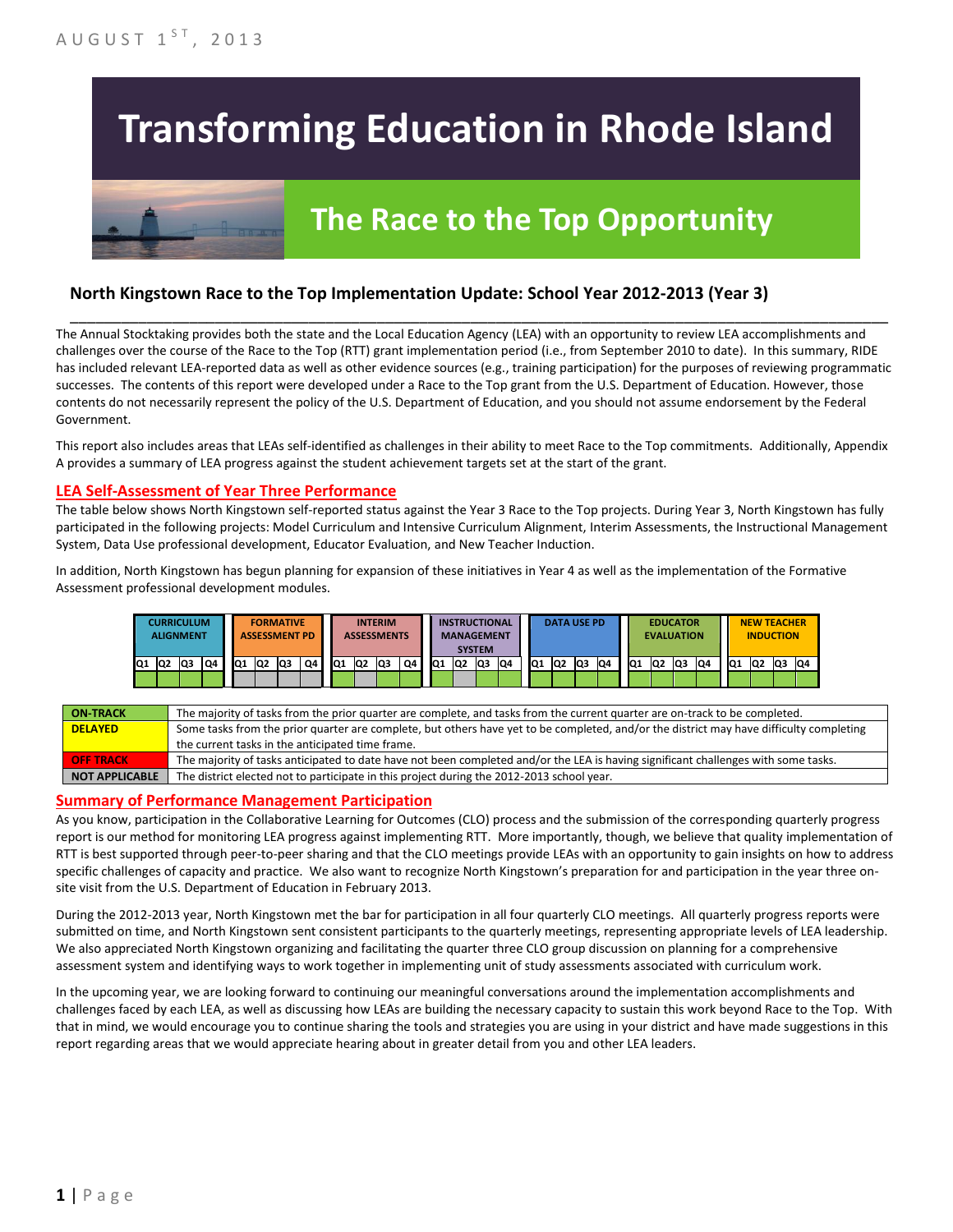# **Transforming Education in Rhode Island**

## **The Race to the Top Opportunity**

#### **North Kingstown Race to the Top Implementation Update: School Year 2012-2013 (Year 3)**

The Annual Stocktaking provides both the state and the Local Education Agency (LEA) with an opportunity to review LEA accomplishments and challenges over the course of the Race to the Top (RTT) grant implementation period (i.e., from September 2010 to date). In this summary, RIDE has included relevant LEA-reported data as well as other evidence sources (e.g., training participation) for the purposes of reviewing programmatic successes. The contents of this report were developed under a Race to the Top grant from the U.S. Department of Education. However, those contents do not necessarily represent the policy of the U.S. Department of Education, and you should not assume endorsement by the Federal Government.

\_\_\_\_\_\_\_\_\_\_\_\_\_\_\_\_\_\_\_\_\_\_\_\_\_\_\_\_\_\_\_\_\_\_\_\_\_\_\_\_\_\_\_\_\_\_\_\_\_\_\_\_\_\_\_\_\_\_\_\_\_\_\_\_\_\_\_\_\_\_\_\_\_\_\_\_\_\_\_\_\_\_\_\_\_\_\_\_\_\_\_\_\_\_\_\_

This report also includes areas that LEAs self-identified as challenges in their ability to meet Race to the Top commitments. Additionally, Appendix A provides a summary of LEA progress against the student achievement targets set at the start of the grant.

#### **LEA Self-Assessment of Year Three Performance**

The table below shows North Kingstown self-reported status against the Year 3 Race to the Top projects. During Year 3, North Kingstown has fully participated in the following projects: Model Curriculum and Intensive Curriculum Alignment, Interim Assessments, the Instructional Management System, Data Use professional development, Educator Evaluation, and New Teacher Induction.

In addition, North Kingstown has begun planning for expansion of these initiatives in Year 4 as well as the implementation of the Formative Assessment professional development modules.



| <b>ON-TRACK</b>  | The majority of tasks from the prior quarter are complete, and tasks from the current quarter are on-track to be completed.             |
|------------------|-----------------------------------------------------------------------------------------------------------------------------------------|
| <b>DELAYED</b>   | Some tasks from the prior quarter are complete, but others have yet to be completed, and/or the district may have difficulty completing |
|                  | the current tasks in the anticipated time frame.                                                                                        |
| <b>OFF TRACK</b> | The majority of tasks anticipated to date have not been completed and/or the LEA is having significant challenges with some tasks.      |
| NOT APPLICABLE   | The district elected not to participate in this project during the 2012-2013 school year.                                               |

#### **Summary of Performance Management Participation**

As you know, participation in the Collaborative Learning for Outcomes (CLO) process and the submission of the corresponding quarterly progress report is our method for monitoring LEA progress against implementing RTT. More importantly, though, we believe that quality implementation of RTT is best supported through peer-to-peer sharing and that the CLO meetings provide LEAs with an opportunity to gain insights on how to address specific challenges of capacity and practice. We also want to recognize North Kingstown's preparation for and participation in the year three onsite visit from the U.S. Department of Education in February 2013.

During the 2012-2013 year, North Kingstown met the bar for participation in all four quarterly CLO meetings. All quarterly progress reports were submitted on time, and North Kingstown sent consistent participants to the quarterly meetings, representing appropriate levels of LEA leadership. We also appreciated North Kingstown organizing and facilitating the quarter three CLO group discussion on planning for a comprehensive assessment system and identifying ways to work together in implementing unit of study assessments associated with curriculum work.

In the upcoming year, we are looking forward to continuing our meaningful conversations around the implementation accomplishments and challenges faced by each LEA, as well as discussing how LEAs are building the necessary capacity to sustain this work beyond Race to the Top. With that in mind, we would encourage you to continue sharing the tools and strategies you are using in your district and have made suggestions in this report regarding areas that we would appreciate hearing about in greater detail from you and other LEA leaders.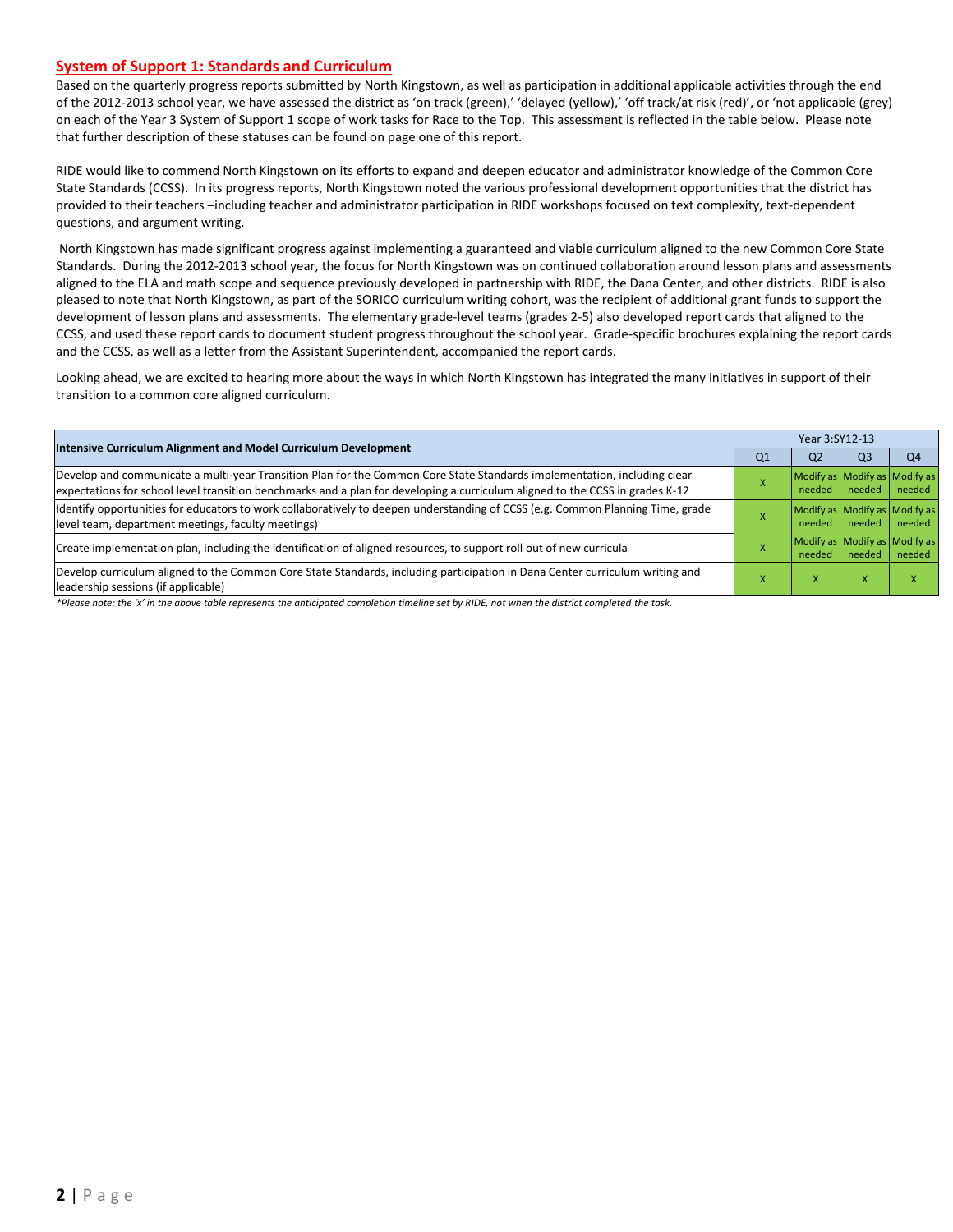#### **System of Support 1: Standards and Curriculum**

Based on the quarterly progress reports submitted by North Kingstown, as well as participation in additional applicable activities through the end of the 2012-2013 school year, we have assessed the district as 'on track (green),' 'delayed (yellow),' 'off track/at risk (red)', or 'not applicable (grey) on each of the Year 3 System of Support 1 scope of work tasks for Race to the Top. This assessment is reflected in the table below. Please note that further description of these statuses can be found on page one of this report.

RIDE would like to commend North Kingstown on its efforts to expand and deepen educator and administrator knowledge of the Common Core State Standards (CCSS). In its progress reports, North Kingstown noted the various professional development opportunities that the district has provided to their teachers –including teacher and administrator participation in RIDE workshops focused on text complexity, text-dependent questions, and argument writing.

 North Kingstown has made significant progress against implementing a guaranteed and viable curriculum aligned to the new Common Core State Standards. During the 2012-2013 school year, the focus for North Kingstown was on continued collaboration around lesson plans and assessments aligned to the ELA and math scope and sequence previously developed in partnership with RIDE, the Dana Center, and other districts. RIDE is also pleased to note that North Kingstown, as part of the SORICO curriculum writing cohort, was the recipient of additional grant funds to support the development of lesson plans and assessments. The elementary grade-level teams (grades 2-5) also developed report cards that aligned to the CCSS, and used these report cards to document student progress throughout the school year. Grade-specific brochures explaining the report cards and the CCSS, as well as a letter from the Assistant Superintendent, accompanied the report cards.

Looking ahead, we are excited to hearing more about the ways in which North Kingstown has integrated the many initiatives in support of their transition to a common core aligned curriculum.

|                                                                                                                                                                                                                                                           |                | Year 3:SY12-13                          |                |                |  |  |  |
|-----------------------------------------------------------------------------------------------------------------------------------------------------------------------------------------------------------------------------------------------------------|----------------|-----------------------------------------|----------------|----------------|--|--|--|
| <b>Intensive Curriculum Alignment and Model Curriculum Development</b>                                                                                                                                                                                    | Q <sub>1</sub> | Q <sub>2</sub>                          | Q <sub>3</sub> | Q <sub>4</sub> |  |  |  |
| Develop and communicate a multi-year Transition Plan for the Common Core State Standards implementation, including clear<br>expectations for school level transition benchmarks and a plan for developing a curriculum aligned to the CCSS in grades K-12 |                | Modify as Modify as Modify as<br>needed | needed         | needed         |  |  |  |
| Identify opportunities for educators to work collaboratively to deepen understanding of CCSS (e.g. Common Planning Time, grade<br>level team, department meetings, faculty meetings)                                                                      |                | Modify as Modify as Modify as<br>needed | needed         | needed         |  |  |  |
| Create implementation plan, including the identification of aligned resources, to support roll out of new curricula                                                                                                                                       |                | Modify as Modify as Modify as<br>needed | needed         | needed         |  |  |  |
| Develop curriculum aligned to the Common Core State Standards, including participation in Dana Center curriculum writing and<br>leadership sessions (if applicable)                                                                                       |                | x                                       | X              |                |  |  |  |

*\*Please note: the 'x' in the above table represents the anticipated completion timeline set by RIDE, not when the district completed the task.*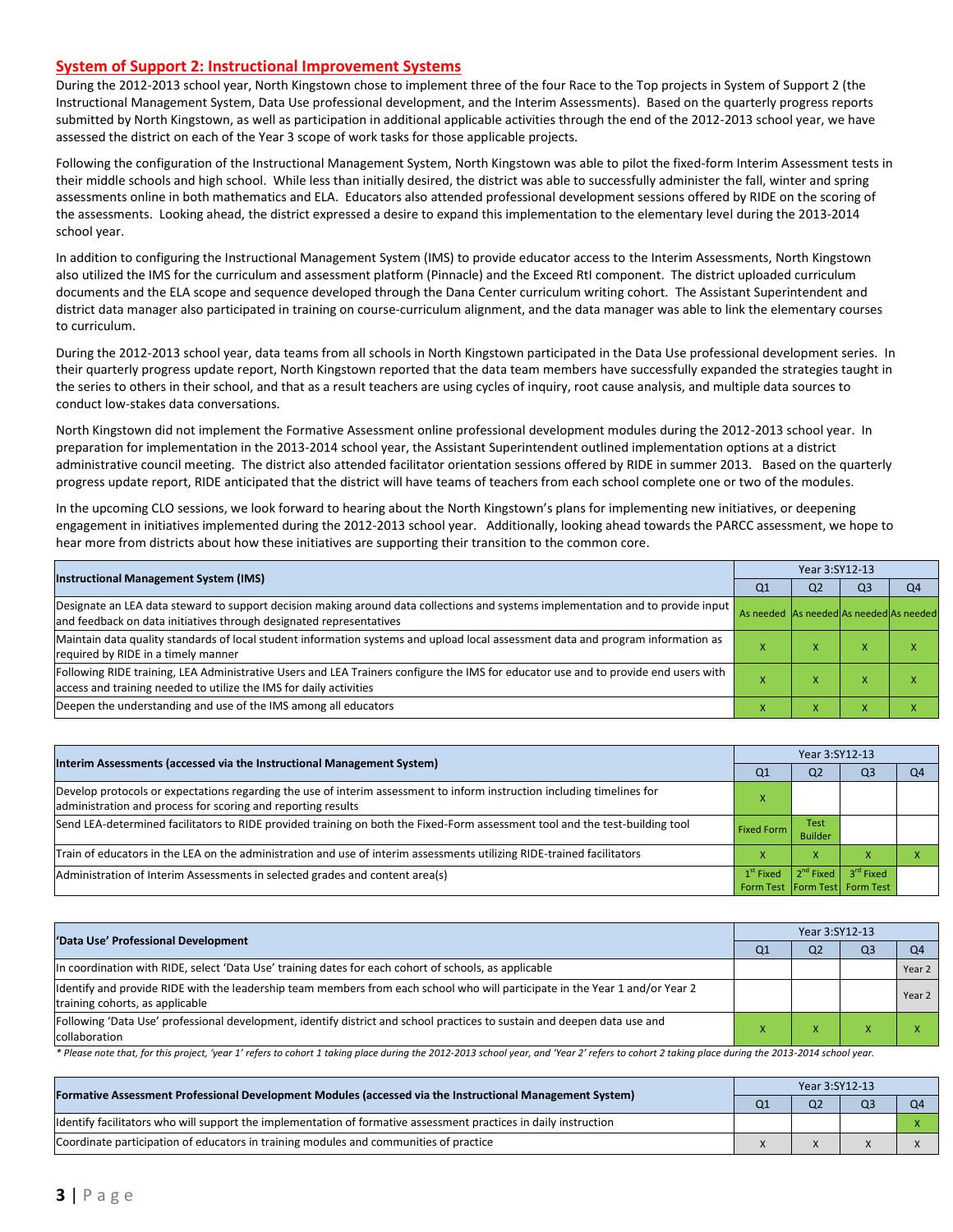#### **System of Support 2: Instructional Improvement Systems**

During the 2012-2013 school year, North Kingstown chose to implement three of the four Race to the Top projects in System of Support 2 (the Instructional Management System, Data Use professional development, and the Interim Assessments). Based on the quarterly progress reports submitted by North Kingstown, as well as participation in additional applicable activities through the end of the 2012-2013 school year, we have assessed the district on each of the Year 3 scope of work tasks for those applicable projects.

Following the configuration of the Instructional Management System, North Kingstown was able to pilot the fixed-form Interim Assessment tests in their middle schools and high school. While less than initially desired, the district was able to successfully administer the fall, winter and spring assessments online in both mathematics and ELA. Educators also attended professional development sessions offered by RIDE on the scoring of the assessments. Looking ahead, the district expressed a desire to expand this implementation to the elementary level during the 2013-2014 school year.

In addition to configuring the Instructional Management System (IMS) to provide educator access to the Interim Assessments, North Kingstown also utilized the IMS for the curriculum and assessment platform (Pinnacle) and the Exceed RtI component. The district uploaded curriculum documents and the ELA scope and sequence developed through the Dana Center curriculum writing cohort. The Assistant Superintendent and district data manager also participated in training on course-curriculum alignment, and the data manager was able to link the elementary courses to curriculum.

During the 2012-2013 school year, data teams from all schools in North Kingstown participated in the Data Use professional development series. In their quarterly progress update report, North Kingstown reported that the data team members have successfully expanded the strategies taught in the series to others in their school, and that as a result teachers are using cycles of inquiry, root cause analysis, and multiple data sources to conduct low-stakes data conversations.

North Kingstown did not implement the Formative Assessment online professional development modules during the 2012-2013 school year. In preparation for implementation in the 2013-2014 school year, the Assistant Superintendent outlined implementation options at a district administrative council meeting. The district also attended facilitator orientation sessions offered by RIDE in summer 2013. Based on the quarterly progress update report, RIDE anticipated that the district will have teams of teachers from each school complete one or two of the modules.

In the upcoming CLO sessions, we look forward to hearing about the North Kingstown's plans for implementing new initiatives, or deepening engagement in initiatives implemented during the 2012-2013 school year. Additionally, looking ahead towards the PARCC assessment, we hope to hear more from districts about how these initiatives are supporting their transition to the common core.

| <b>Instructional Management System (IMS)</b>                                                                                                                                                              |                                         | Year 3:SY12-13 |                |    |  |  |  |
|-----------------------------------------------------------------------------------------------------------------------------------------------------------------------------------------------------------|-----------------------------------------|----------------|----------------|----|--|--|--|
|                                                                                                                                                                                                           | Q1                                      | Q <sub>2</sub> | Q <sub>3</sub> | Q4 |  |  |  |
| Designate an LEA data steward to support decision making around data collections and systems implementation and to provide input<br>and feedback on data initiatives through designated representatives   | As needed As needed As needed As needed |                |                |    |  |  |  |
| Maintain data quality standards of local student information systems and upload local assessment data and program information as<br>required by RIDE in a timely manner                                   |                                         | $\lambda$      | ⋏              |    |  |  |  |
| Following RIDE training, LEA Administrative Users and LEA Trainers configure the IMS for educator use and to provide end users with<br>access and training needed to utilize the IMS for daily activities | $\boldsymbol{\mathsf{A}}$               | $\lambda$      | ⋏              |    |  |  |  |
| Deepen the understanding and use of the IMS among all educators                                                                                                                                           |                                         | $\lambda$      | ⋏              |    |  |  |  |

| Interim Assessments (accessed via the Instructional Management System)                                                                                                                  |                   | Year 3:SY12-13                |                                                          |    |  |  |  |
|-----------------------------------------------------------------------------------------------------------------------------------------------------------------------------------------|-------------------|-------------------------------|----------------------------------------------------------|----|--|--|--|
|                                                                                                                                                                                         | Q1                | Q <sub>2</sub>                | Q3                                                       | O4 |  |  |  |
| Develop protocols or expectations regarding the use of interim assessment to inform instruction including timelines for<br>administration and process for scoring and reporting results |                   |                               |                                                          |    |  |  |  |
| Send LEA-determined facilitators to RIDE provided training on both the Fixed-Form assessment tool and the test-building tool                                                            | <b>Fixed Form</b> | <b>Test</b><br><b>Builder</b> |                                                          |    |  |  |  |
| Train of educators in the LEA on the administration and use of interim assessments utilizing RIDE-trained facilitators                                                                  |                   | X                             |                                                          |    |  |  |  |
| Administration of Interim Assessments in selected grades and content area(s)                                                                                                            | $1st$ Fixed       |                               | $2nd$ Fixed $3rd$ Fixed<br>Form Test Form Test Form Test |    |  |  |  |

| 'Data Use' Professional Development                                                                                                                             |  | Year 3:SY12-13 |                |                |  |  |  |
|-----------------------------------------------------------------------------------------------------------------------------------------------------------------|--|----------------|----------------|----------------|--|--|--|
|                                                                                                                                                                 |  | Q <sub>2</sub> | Q <sub>3</sub> | Q <sub>4</sub> |  |  |  |
| In coordination with RIDE, select 'Data Use' training dates for each cohort of schools, as applicable                                                           |  |                |                | Year 2         |  |  |  |
| ldentify and provide RIDE with the leadership team members from each school who will participate in the Year 1 and/or Year 2<br>training cohorts, as applicable |  |                |                | Year 2         |  |  |  |
| Following 'Data Use' professional development, identify district and school practices to sustain and deepen data use and<br>collaboration                       |  |                |                |                |  |  |  |

*\* Please note that, for this project, 'year 1' refers to cohort 1 taking place during the 2012-2013 school year, and 'Year 2' refers to cohort 2 taking place during the 2013-2014 school year.* 

| [Formative Assessment Professional Development Modules (accessed via the Instructional Management System)        |  | Year 3:SY12-13 |                |    |  |  |  |
|------------------------------------------------------------------------------------------------------------------|--|----------------|----------------|----|--|--|--|
|                                                                                                                  |  | Q <sub>2</sub> | Q <sub>3</sub> | O4 |  |  |  |
| Identify facilitators who will support the implementation of formative assessment practices in daily instruction |  |                |                |    |  |  |  |
| Coordinate participation of educators in training modules and communities of practice                            |  |                |                |    |  |  |  |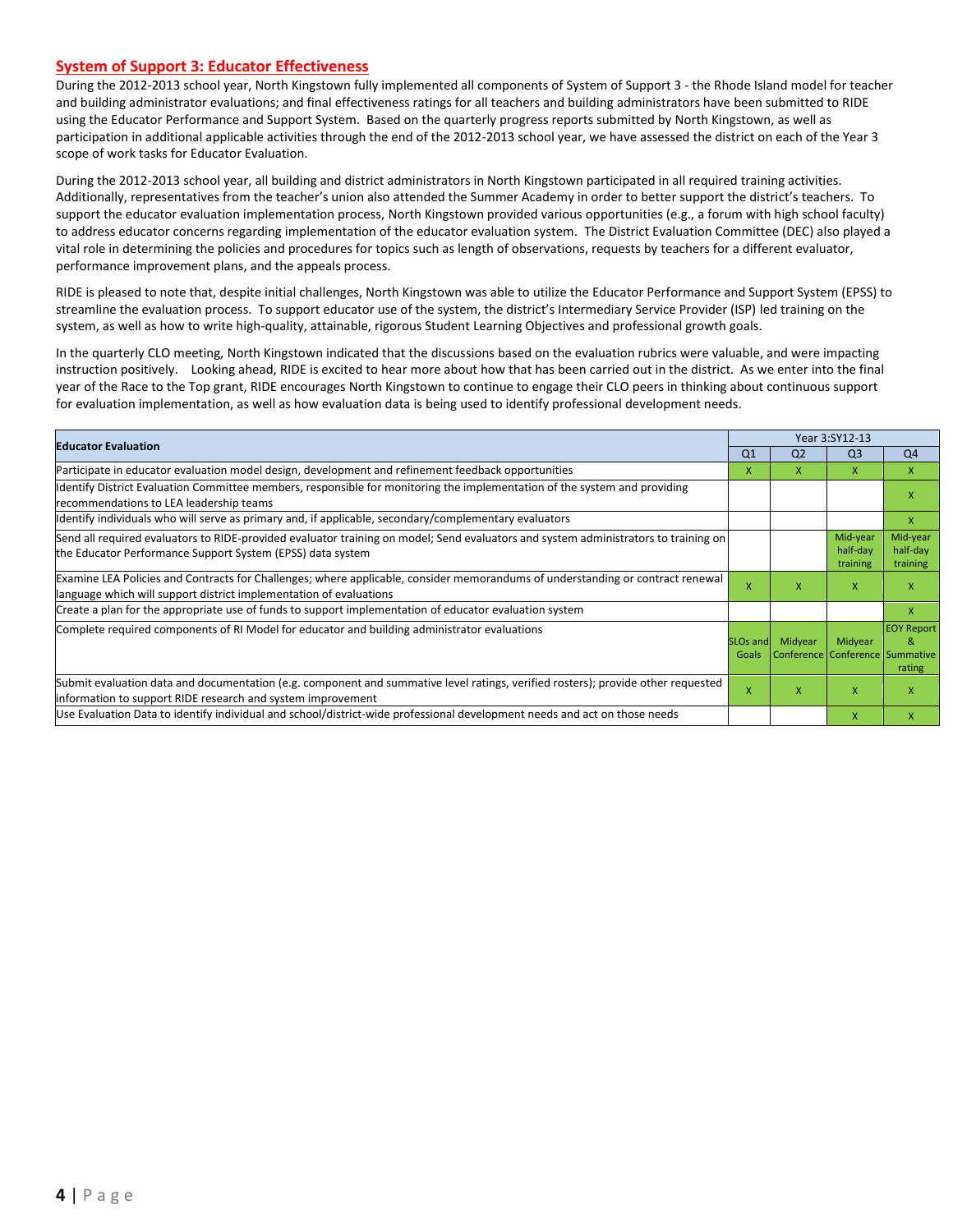#### **System of Support 3: Educator Effectiveness**

During the 2012-2013 school year, North Kingstown fully implemented all components of System of Support 3 - the Rhode Island model for teacher and building administrator evaluations; and final effectiveness ratings for all teachers and building administrators have been submitted to RIDE using the Educator Performance and Support System. Based on the quarterly progress reports submitted by North Kingstown, as well as participation in additional applicable activities through the end of the 2012-2013 school year, we have assessed the district on each of the Year 3 scope of work tasks for Educator Evaluation.

During the 2012-2013 school year, all building and district administrators in North Kingstown participated in all required training activities. Additionally, representatives from the teacher's union also attended the Summer Academy in order to better support the district's teachers. To support the educator evaluation implementation process, North Kingstown provided various opportunities (e.g., a forum with high school faculty) to address educator concerns regarding implementation of the educator evaluation system. The District Evaluation Committee (DEC) also played a vital role in determining the policies and procedures for topics such as length of observations, requests by teachers for a different evaluator, performance improvement plans, and the appeals process.

RIDE is pleased to note that, despite initial challenges, North Kingstown was able to utilize the Educator Performance and Support System (EPSS) to streamline the evaluation process. To support educator use of the system, the district's Intermediary Service Provider (ISP) led training on the system, as well as how to write high-quality, attainable, rigorous Student Learning Objectives and professional growth goals.

In the quarterly CLO meeting, North Kingstown indicated that the discussions based on the evaluation rubrics were valuable, and were impacting instruction positively. Looking ahead, RIDE is excited to hear more about how that has been carried out in the district. As we enter into the final year of the Race to the Top grant, RIDE encourages North Kingstown to continue to engage their CLO peers in thinking about continuous support for evaluation implementation, as well as how evaluation data is being used to identify professional development needs.

| <b>Educator Evaluation</b>                                                                                                                                                                           |                               | Year 3:SY12-13                             |                                  |                                  |  |
|------------------------------------------------------------------------------------------------------------------------------------------------------------------------------------------------------|-------------------------------|--------------------------------------------|----------------------------------|----------------------------------|--|
|                                                                                                                                                                                                      | Q <sub>1</sub>                | Q <sub>2</sub>                             | Q <sub>3</sub>                   | Q4                               |  |
| Participate in educator evaluation model design, development and refinement feedback opportunities                                                                                                   | X                             | x                                          | $\mathsf{x}$                     | $\mathsf{x}$                     |  |
| Identify District Evaluation Committee members, responsible for monitoring the implementation of the system and providing<br>recommendations to LEA leadership teams                                 |                               |                                            |                                  | x                                |  |
| ldentify individuals who will serve as primary and, if applicable, secondary/complementary evaluators                                                                                                |                               |                                            |                                  | X                                |  |
| Send all required evaluators to RIDE-provided evaluator training on model; Send evaluators and system administrators to training on<br>the Educator Performance Support System (EPSS) data system    |                               |                                            | Mid-year<br>half-day<br>training | Mid-year<br>half-day<br>training |  |
| Examine LEA Policies and Contracts for Challenges; where applicable, consider memorandums of understanding or contract renewal<br>language which will support district implementation of evaluations | X                             | X                                          | $\mathsf{x}$                     | X                                |  |
| Create a plan for the appropriate use of funds to support implementation of educator evaluation system                                                                                               |                               |                                            |                                  | X                                |  |
| Complete required components of RI Model for educator and building administrator evaluations                                                                                                         | SLO <sub>s</sub> and<br>Goals | Midyear<br>Conference Conference Summative | Midyear                          | <b>EOY Report</b><br>&<br>rating |  |
| Submit evaluation data and documentation (e.g. component and summative level ratings, verified rosters); provide other requested<br>information to support RIDE research and system improvement      | X                             | X                                          | $\mathsf{x}$                     | X                                |  |
| Use Evaluation Data to identify individual and school/district-wide professional development needs and act on those needs                                                                            |                               |                                            | X                                | X                                |  |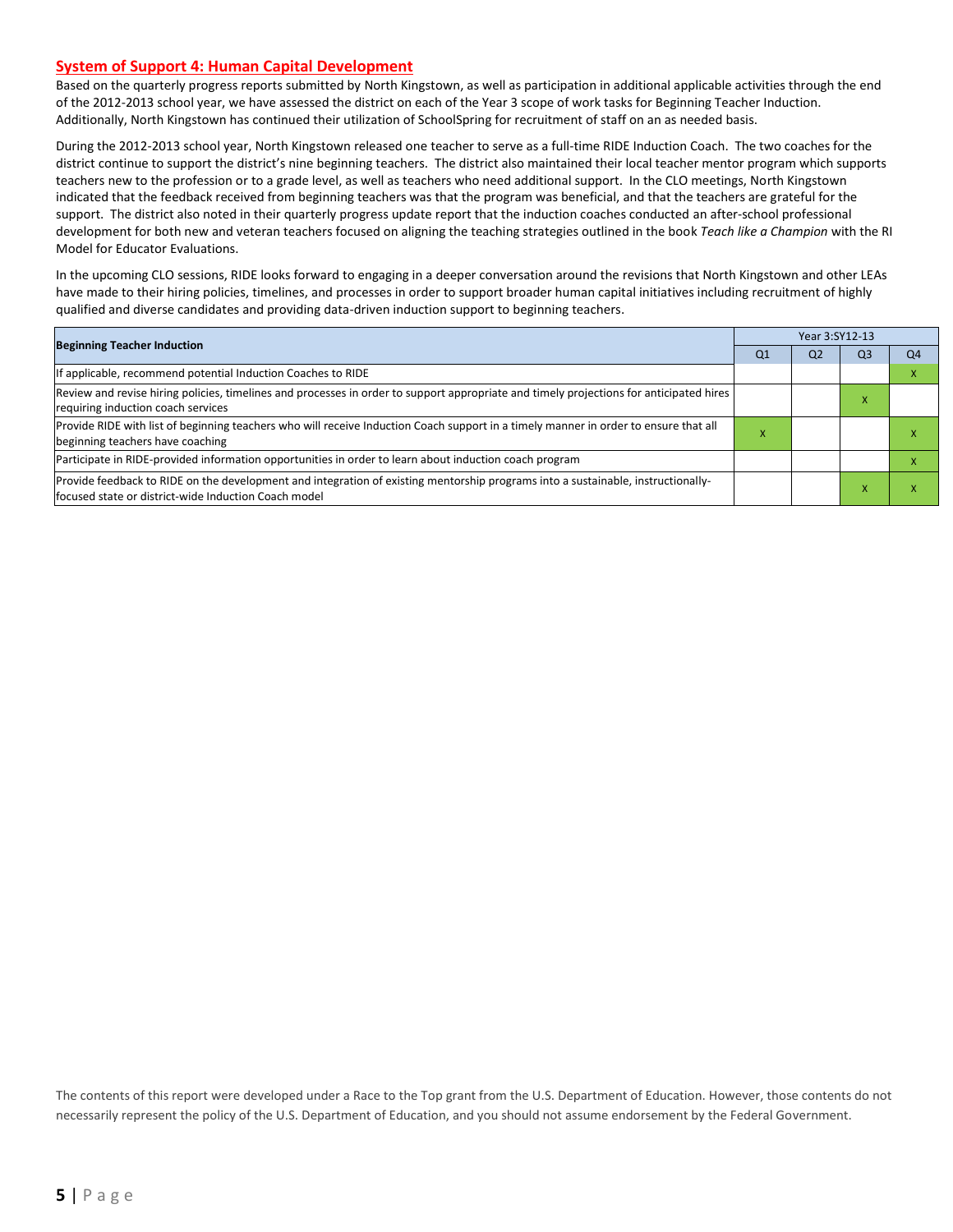#### **System of Support 4: Human Capital Development**

Based on the quarterly progress reports submitted by North Kingstown, as well as participation in additional applicable activities through the end of the 2012-2013 school year, we have assessed the district on each of the Year 3 scope of work tasks for Beginning Teacher Induction. Additionally, North Kingstown has continued their utilization of SchoolSpring for recruitment of staff on an as needed basis.

During the 2012-2013 school year, North Kingstown released one teacher to serve as a full-time RIDE Induction Coach. The two coaches for the district continue to support the district's nine beginning teachers. The district also maintained their local teacher mentor program which supports teachers new to the profession or to a grade level, as well as teachers who need additional support. In the CLO meetings, North Kingstown indicated that the feedback received from beginning teachers was that the program was beneficial, and that the teachers are grateful for the support. The district also noted in their quarterly progress update report that the induction coaches conducted an after-school professional development for both new and veteran teachers focused on aligning the teaching strategies outlined in the book *Teach like a Champion* with the RI Model for Educator Evaluations.

In the upcoming CLO sessions, RIDE looks forward to engaging in a deeper conversation around the revisions that North Kingstown and other LEAs have made to their hiring policies, timelines, and processes in order to support broader human capital initiatives including recruitment of highly qualified and diverse candidates and providing data-driven induction support to beginning teachers.

|                                                                                                                                                                                          |           | Year 3:SY12-13 |    |    |  |  |  |
|------------------------------------------------------------------------------------------------------------------------------------------------------------------------------------------|-----------|----------------|----|----|--|--|--|
| <b>Beginning Teacher Induction</b>                                                                                                                                                       | Q1        | Q <sub>2</sub> | Q3 | Q4 |  |  |  |
| If applicable, recommend potential Induction Coaches to RIDE                                                                                                                             |           |                |    |    |  |  |  |
| Review and revise hiring policies, timelines and processes in order to support appropriate and timely projections for anticipated hires<br>requiring induction coach services            |           |                | ×  |    |  |  |  |
| Provide RIDE with list of beginning teachers who will receive Induction Coach support in a timely manner in order to ensure that all<br>beginning teachers have coaching                 | $\lambda$ |                |    |    |  |  |  |
| Participate in RIDE-provided information opportunities in order to learn about induction coach program                                                                                   |           |                |    |    |  |  |  |
| Provide feedback to RIDE on the development and integration of existing mentorship programs into a sustainable, instructionally-<br>focused state or district-wide Induction Coach model |           |                |    |    |  |  |  |

The contents of this report were developed under a Race to the Top grant from the U.S. Department of Education. However, those contents do not necessarily represent the policy of the U.S. Department of Education, and you should not assume endorsement by the Federal Government.